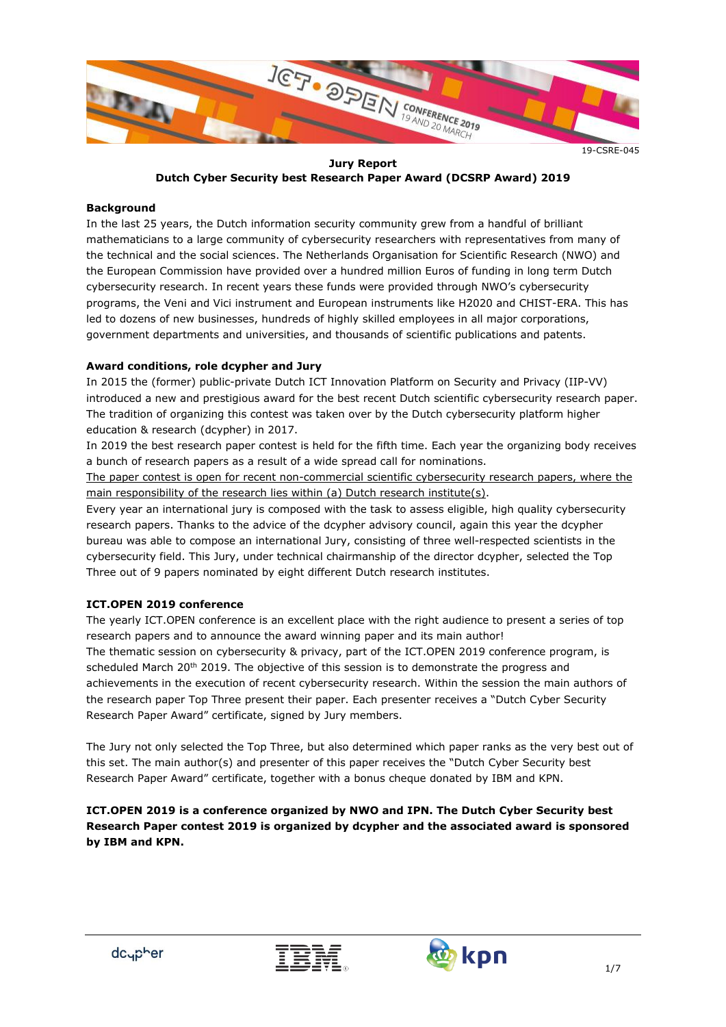

19-CSRE-045

**Jury Report Dutch Cyber Security best Research Paper Award (DCSRP Award) 2019**

#### **Background**

In the last 25 years, the Dutch information security community grew from a handful of brilliant mathematicians to a large community of cybersecurity researchers with representatives from many of the technical and the social sciences. The Netherlands Organisation for Scientific Research (NWO) and the European Commission have provided over a hundred million Euros of funding in long term Dutch cybersecurity research. In recent years these funds were provided through NWO's cybersecurity programs, the Veni and Vici instrument and European instruments like H2020 and CHIST-ERA. This has led to dozens of new businesses, hundreds of highly skilled employees in all major corporations, government departments and universities, and thousands of scientific publications and patents.

# **Award conditions, role dcypher and Jury**

In 2015 the (former) public-private Dutch ICT Innovation Platform on Security and Privacy (IIP-VV) introduced a new and prestigious award for the best recent Dutch scientific cybersecurity research paper. The tradition of organizing this contest was taken over by the Dutch cybersecurity platform higher education & research (dcypher) in 2017.

In 2019 the best research paper contest is held for the fifth time. Each year the organizing body receives a bunch of research papers as a result of a wide spread call for nominations.

The paper contest is open for recent non-commercial scientific cybersecurity research papers, where the main responsibility of the research lies within (a) Dutch research institute(s).

Every year an international jury is composed with the task to assess eligible, high quality cybersecurity research papers. Thanks to the advice of the dcypher advisory council, again this year the dcypher bureau was able to compose an international Jury, consisting of three well-respected scientists in the cybersecurity field. This Jury, under technical chairmanship of the director dcypher, selected the Top Three out of 9 papers nominated by eight different Dutch research institutes.

#### **ICT.OPEN 2019 conference**

The yearly ICT.OPEN conference is an excellent place with the right audience to present a series of top research papers and to announce the award winning paper and its main author! The thematic session on cybersecurity & privacy, part of the ICT.OPEN 2019 conference program, is scheduled March 20<sup>th</sup> 2019. The objective of this session is to demonstrate the progress and achievements in the execution of recent cybersecurity research. Within the session the main authors of the research paper Top Three present their paper. Each presenter receives a "Dutch Cyber Security Research Paper Award" certificate, signed by Jury members.

The Jury not only selected the Top Three, but also determined which paper ranks as the very best out of this set. The main author(s) and presenter of this paper receives the "Dutch Cyber Security best Research Paper Award" certificate, together with a bonus cheque donated by IBM and KPN.

**ICT.OPEN 2019 is a conference organized by NWO and IPN. The Dutch Cyber Security best Research Paper contest 2019 is organized by dcypher and the associated award is sponsored by IBM and KPN.**



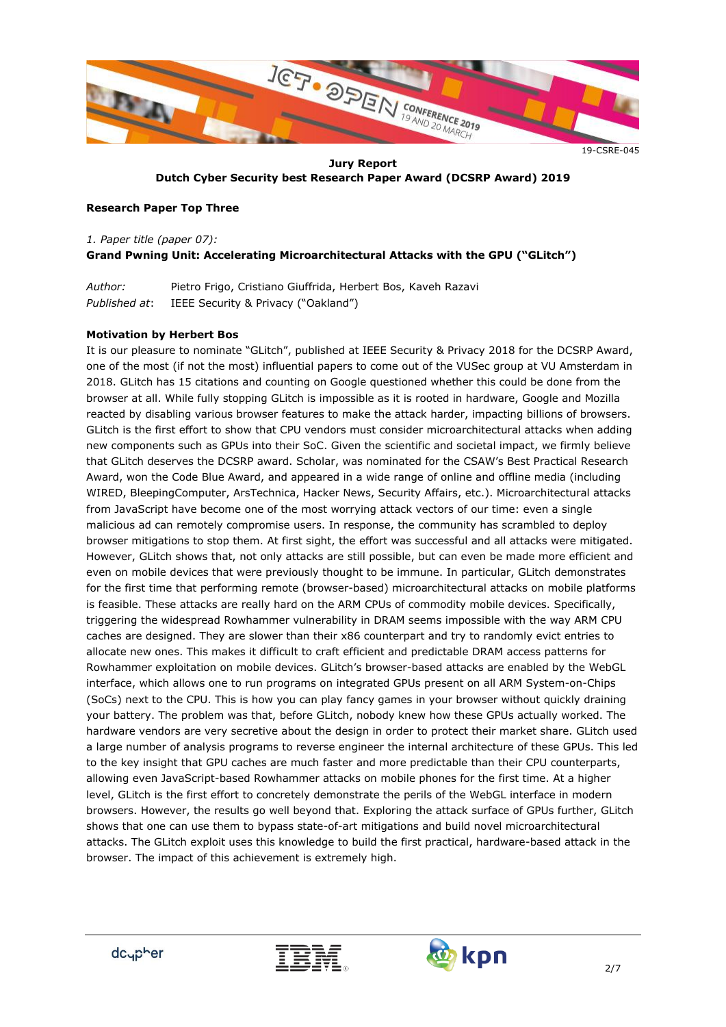

**Jury Report Dutch Cyber Security best Research Paper Award (DCSRP Award) 2019**

#### **Research Paper Top Three**

# *1. Paper title (paper 07):* **Grand Pwning Unit: Accelerating Microarchitectural Attacks with the GPU ("GLitch")**

*Author:* Pietro Frigo, Cristiano Giuffrida, Herbert Bos, Kaveh Razavi *Published at*: IEEE Security & Privacy ("Oakland")

#### **Motivation by Herbert Bos**

It is our pleasure to nominate "GLitch", published at IEEE Security & Privacy 2018 for the DCSRP Award, one of the most (if not the most) influential papers to come out of the VUSec group at VU Amsterdam in 2018. GLitch has 15 citations and counting on Google questioned whether this could be done from the browser at all. While fully stopping GLitch is impossible as it is rooted in hardware, Google and Mozilla reacted by disabling various browser features to make the attack harder, impacting billions of browsers. GLitch is the first effort to show that CPU vendors must consider microarchitectural attacks when adding new components such as GPUs into their SoC. Given the scientific and societal impact, we firmly believe that GLitch deserves the DCSRP award. Scholar, was nominated for the CSAW's Best Practical Research Award, won the Code Blue Award, and appeared in a wide range of online and offline media (including WIRED, BleepingComputer, ArsTechnica, Hacker News, Security Affairs, etc.). Microarchitectural attacks from JavaScript have become one of the most worrying attack vectors of our time: even a single malicious ad can remotely compromise users. In response, the community has scrambled to deploy browser mitigations to stop them. At first sight, the effort was successful and all attacks were mitigated. However, GLitch shows that, not only attacks are still possible, but can even be made more efficient and even on mobile devices that were previously thought to be immune. In particular, GLitch demonstrates for the first time that performing remote (browser-based) microarchitectural attacks on mobile platforms is feasible. These attacks are really hard on the ARM CPUs of commodity mobile devices. Specifically, triggering the widespread Rowhammer vulnerability in DRAM seems impossible with the way ARM CPU caches are designed. They are slower than their x86 counterpart and try to randomly evict entries to allocate new ones. This makes it difficult to craft efficient and predictable DRAM access patterns for Rowhammer exploitation on mobile devices. GLitch's browser-based attacks are enabled by the WebGL interface, which allows one to run programs on integrated GPUs present on all ARM System-on-Chips (SoCs) next to the CPU. This is how you can play fancy games in your browser without quickly draining your battery. The problem was that, before GLitch, nobody knew how these GPUs actually worked. The hardware vendors are very secretive about the design in order to protect their market share. GLitch used a large number of analysis programs to reverse engineer the internal architecture of these GPUs. This led to the key insight that GPU caches are much faster and more predictable than their CPU counterparts, allowing even JavaScript-based Rowhammer attacks on mobile phones for the first time. At a higher level, GLitch is the first effort to concretely demonstrate the perils of the WebGL interface in modern browsers. However, the results go well beyond that. Exploring the attack surface of GPUs further, GLitch shows that one can use them to bypass state-of-art mitigations and build novel microarchitectural attacks. The GLitch exploit uses this knowledge to build the first practical, hardware-based attack in the browser. The impact of this achievement is extremely high.



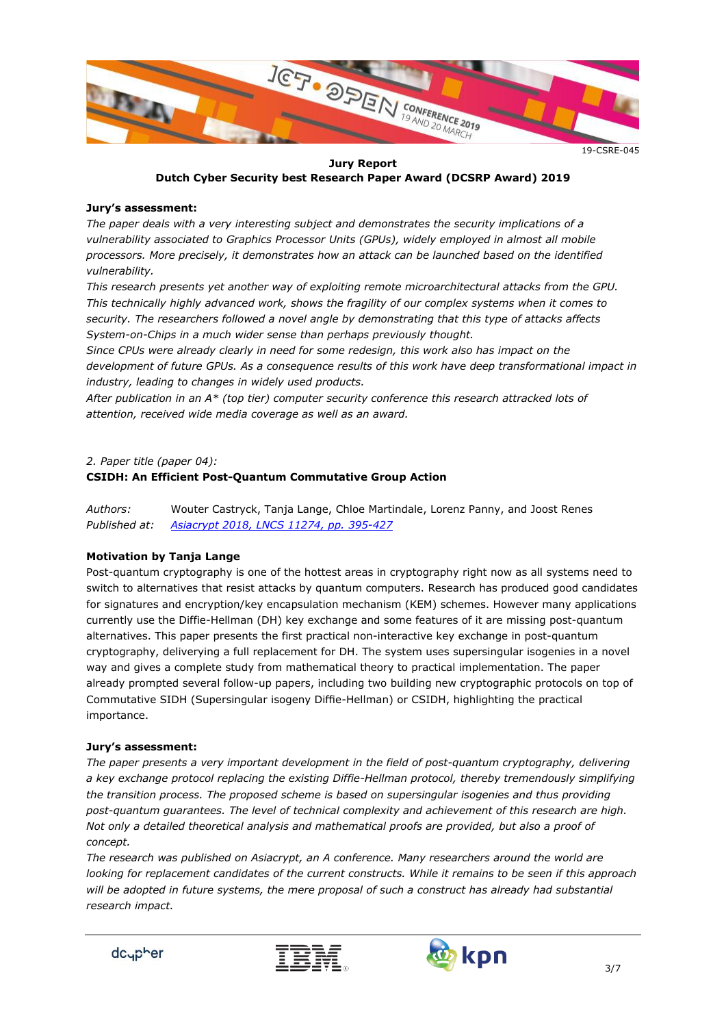

**Jury Report Dutch Cyber Security best Research Paper Award (DCSRP Award) 2019**

#### **Jury's assessment:**

*The paper deals with a very interesting subject and demonstrates the security implications of a vulnerability associated to Graphics Processor Units (GPUs), widely employed in almost all mobile processors. More precisely, it demonstrates how an attack can be launched based on the identified vulnerability.* 

*This research presents yet another way of exploiting remote microarchitectural attacks from the GPU. This technically highly advanced work, shows the fragility of our complex systems when it comes to security. The researchers followed a novel angle by demonstrating that this type of attacks affects System-on-Chips in a much wider sense than perhaps previously thought.* 

*Since CPUs were already clearly in need for some redesign, this work also has impact on the development of future GPUs. As a consequence results of this work have deep transformational impact in industry, leading to changes in widely used products.* 

*After publication in an A\* (top tier) computer security conference this research attracked lots of attention, received wide media coverage as well as an award.*

*2. Paper title (paper 04):*

#### **CSIDH: An Efficient Post-Quantum Commutative Group Action**

*Authors:* Wouter Castryck, Tanja Lange, Chloe Martindale, Lorenz Panny, and Joost Renes *Published at: [Asiacrypt 2018, LNCS 11274, pp. 395-427](https://eprint.iacr.org/2018/383)*

#### **Motivation by Tanja Lange**

Post-quantum cryptography is one of the hottest areas in cryptography right now as all systems need to switch to alternatives that resist attacks by quantum computers. Research has produced good candidates for signatures and encryption/key encapsulation mechanism (KEM) schemes. However many applications currently use the Diffie-Hellman (DH) key exchange and some features of it are missing post-quantum alternatives. This paper presents the first practical non-interactive key exchange in post-quantum cryptography, deliverying a full replacement for DH. The system uses supersingular isogenies in a novel way and gives a complete study from mathematical theory to practical implementation. The paper already prompted several follow-up papers, including two building new cryptographic protocols on top of Commutative SIDH (Supersingular isogeny Diffie-Hellman) or CSIDH, highlighting the practical importance.

#### **Jury's assessment:**

*The paper presents a very important development in the field of post-quantum cryptography, delivering a key exchange protocol replacing the existing Diffie-Hellman protocol, thereby tremendously simplifying the transition process. The proposed scheme is based on supersingular isogenies and thus providing post-quantum guarantees. The level of technical complexity and achievement of this research are high. Not only a detailed theoretical analysis and mathematical proofs are provided, but also a proof of concept.*

*The research was published on Asiacrypt, an A conference. Many researchers around the world are looking for replacement candidates of the current constructs. While it remains to be seen if this approach*  will be adopted in future systems, the mere proposal of such a construct has already had substantial *research impact.*



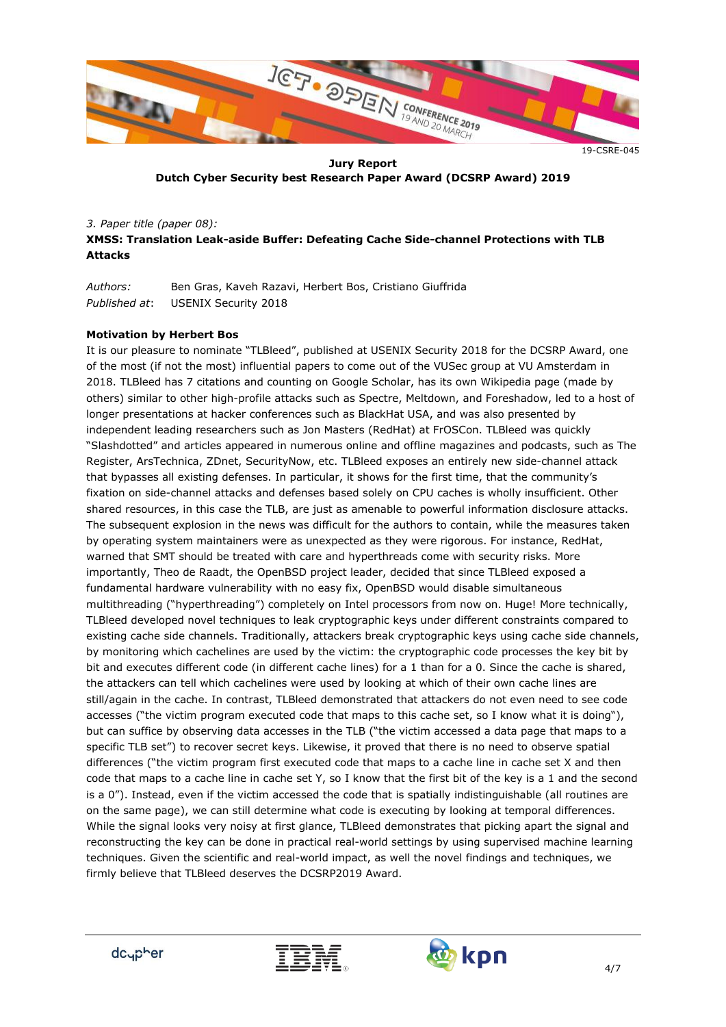

**Jury Report Dutch Cyber Security best Research Paper Award (DCSRP Award) 2019**

*3. Paper title (paper 08):* **XMSS: Translation Leak-aside Buffer: Defeating Cache Side-channel Protections with TLB Attacks**

*Authors:* Ben Gras, Kaveh Razavi, Herbert Bos, Cristiano Giuffrida *Published at*: USENIX Security 2018

#### **Motivation by Herbert Bos**

It is our pleasure to nominate "TLBleed", published at USENIX Security 2018 for the DCSRP Award, one of the most (if not the most) influential papers to come out of the VUSec group at VU Amsterdam in 2018. TLBleed has 7 citations and counting on Google Scholar, has its own Wikipedia page (made by others) similar to other high-profile attacks such as Spectre, Meltdown, and Foreshadow, led to a host of longer presentations at hacker conferences such as BlackHat USA, and was also presented by independent leading researchers such as Jon Masters (RedHat) at FrOSCon. TLBleed was quickly "Slashdotted" and articles appeared in numerous online and offline magazines and podcasts, such as The Register, ArsTechnica, ZDnet, SecurityNow, etc. TLBleed exposes an entirely new side-channel attack that bypasses all existing defenses. In particular, it shows for the first time, that the community's fixation on side-channel attacks and defenses based solely on CPU caches is wholly insufficient. Other shared resources, in this case the TLB, are just as amenable to powerful information disclosure attacks. The subsequent explosion in the news was difficult for the authors to contain, while the measures taken by operating system maintainers were as unexpected as they were rigorous. For instance, RedHat, warned that SMT should be treated with care and hyperthreads come with security risks. More importantly, Theo de Raadt, the OpenBSD project leader, decided that since TLBleed exposed a fundamental hardware vulnerability with no easy fix, OpenBSD would disable simultaneous multithreading ("hyperthreading") completely on Intel processors from now on. Huge! More technically, TLBleed developed novel techniques to leak cryptographic keys under different constraints compared to existing cache side channels. Traditionally, attackers break cryptographic keys using cache side channels, by monitoring which cachelines are used by the victim: the cryptographic code processes the key bit by bit and executes different code (in different cache lines) for a 1 than for a 0. Since the cache is shared, the attackers can tell which cachelines were used by looking at which of their own cache lines are still/again in the cache. In contrast, TLBleed demonstrated that attackers do not even need to see code accesses ("the victim program executed code that maps to this cache set, so I know what it is doing"), but can suffice by observing data accesses in the TLB ("the victim accessed a data page that maps to a specific TLB set") to recover secret keys. Likewise, it proved that there is no need to observe spatial differences ("the victim program first executed code that maps to a cache line in cache set X and then code that maps to a cache line in cache set Y, so I know that the first bit of the key is a 1 and the second is a 0"). Instead, even if the victim accessed the code that is spatially indistinguishable (all routines are on the same page), we can still determine what code is executing by looking at temporal differences. While the signal looks very noisy at first glance, TLBleed demonstrates that picking apart the signal and reconstructing the key can be done in practical real-world settings by using supervised machine learning techniques. Given the scientific and real-world impact, as well the novel findings and techniques, we firmly believe that TLBleed deserves the DCSRP2019 Award.



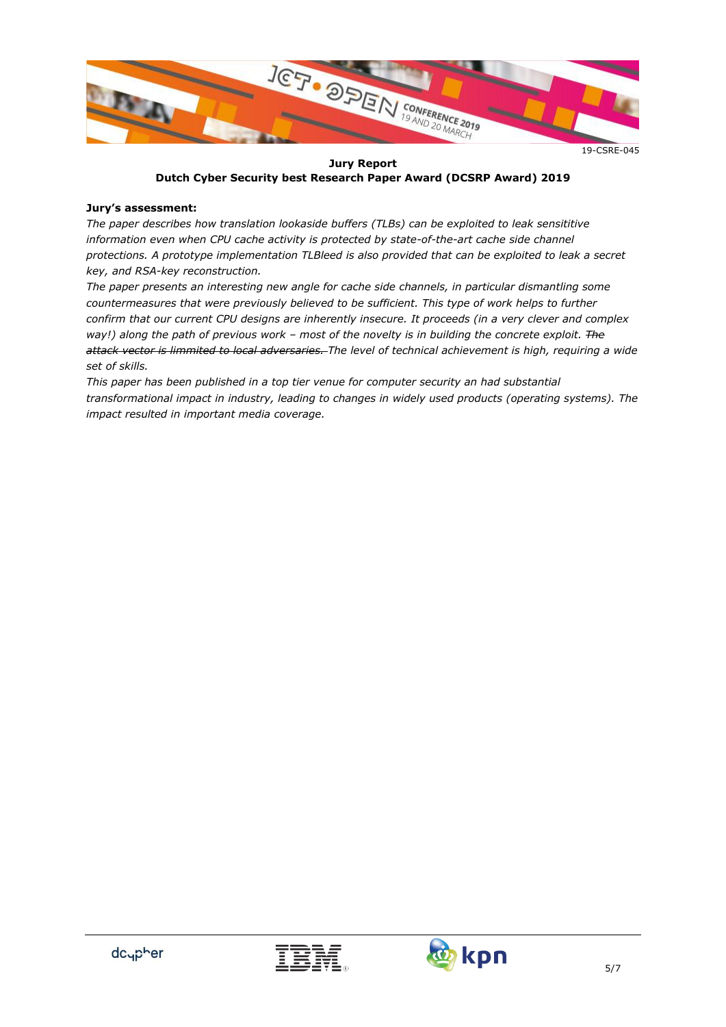

**Jury Report Dutch Cyber Security best Research Paper Award (DCSRP Award) 2019**

#### **Jury's assessment:**

*The paper describes how translation lookaside buffers (TLBs) can be exploited to leak sensititive information even when CPU cache activity is protected by state-of-the-art cache side channel protections. A prototype implementation TLBleed is also provided that can be exploited to leak a secret key, and RSA-key reconstruction.*

*The paper presents an interesting new angle for cache side channels, in particular dismantling some countermeasures that were previously believed to be sufficient. This type of work helps to further confirm that our current CPU designs are inherently insecure. It proceeds (in a very clever and complex way!) along the path of previous work – most of the novelty is in building the concrete exploit. The attack vector is limmited to local adversaries. The level of technical achievement is high, requiring a wide set of skills.* 

*This paper has been published in a top tier venue for computer security an had substantial transformational impact in industry, leading to changes in widely used products (operating systems). The impact resulted in important media coverage.* 

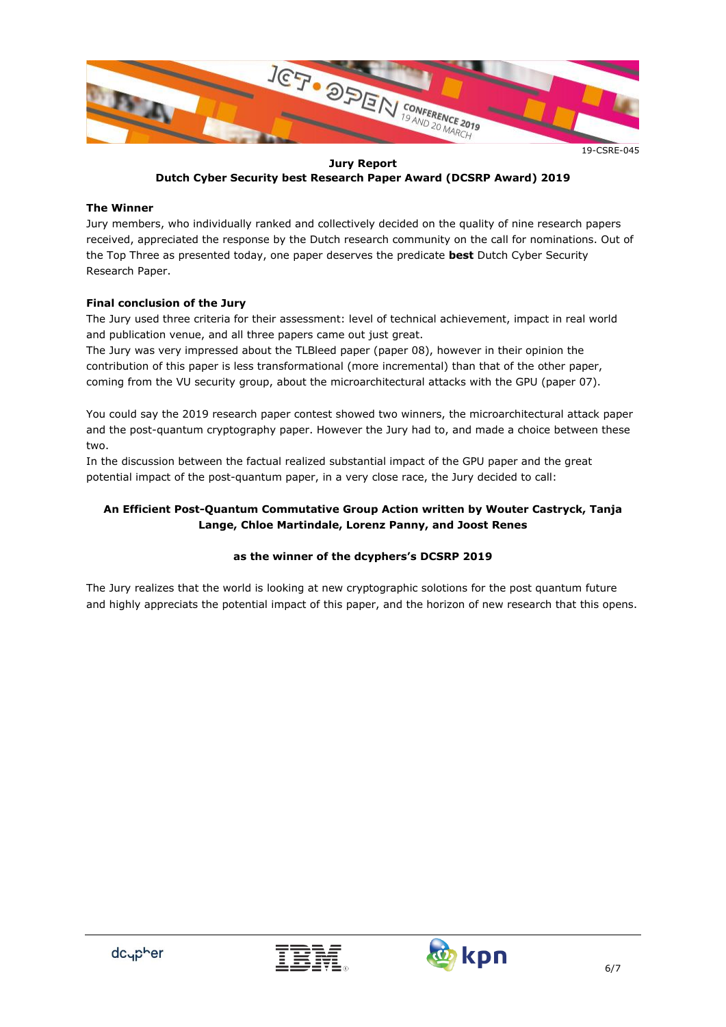

**Jury Report Dutch Cyber Security best Research Paper Award (DCSRP Award) 2019**

#### **The Winner**

Jury members, who individually ranked and collectively decided on the quality of nine research papers received, appreciated the response by the Dutch research community on the call for nominations. Out of the Top Three as presented today, one paper deserves the predicate **best** Dutch Cyber Security Research Paper.

# **Final conclusion of the Jury**

The Jury used three criteria for their assessment: level of technical achievement, impact in real world and publication venue, and all three papers came out just great.

The Jury was very impressed about the TLBleed paper (paper 08), however in their opinion the contribution of this paper is less transformational (more incremental) than that of the other paper, coming from the VU security group, about the microarchitectural attacks with the GPU (paper 07).

You could say the 2019 research paper contest showed two winners, the microarchitectural attack paper and the post-quantum cryptography paper. However the Jury had to, and made a choice between these two.

In the discussion between the factual realized substantial impact of the GPU paper and the great potential impact of the post-quantum paper, in a very close race, the Jury decided to call:

## **An Efficient Post-Quantum Commutative Group Action written by Wouter Castryck, Tanja Lange, Chloe Martindale, Lorenz Panny, and Joost Renes**

#### **as the winner of the dcyphers's DCSRP 2019**

The Jury realizes that the world is looking at new cryptographic solotions for the post quantum future and highly appreciats the potential impact of this paper, and the horizon of new research that this opens.